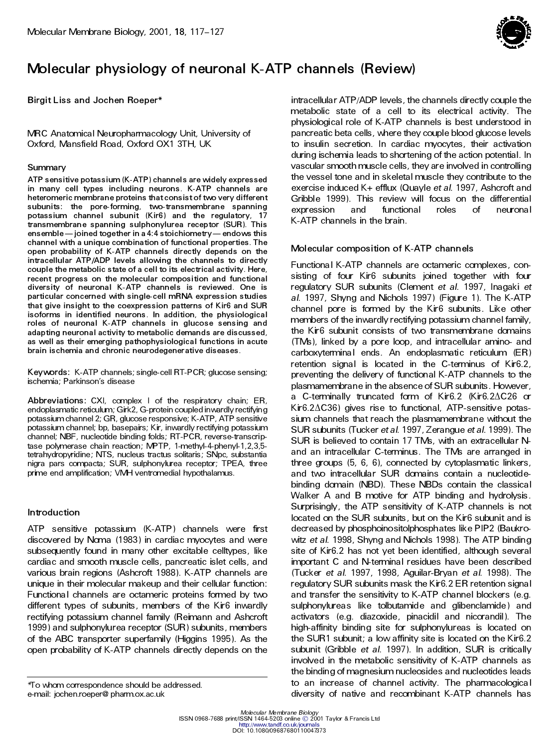

# **Molecular physiology of neuronal K-ATP channels (Review)**

**Birgit Liss and Jochen Roeper\***

MRC Anatomical Neuropharmacology Unit, University of Oxford, Mansfield Road, Oxford OX1 3TH, UK

## **Summary**

**ATP sensitive potassium(K-ATP)channels are widely expressed in many cell types including neurons. K-ATP channels are heteromeric membrane proteins thatconsistof two very different subunits: the pore-forming, two-transmembrane spanning potassium channel subunit (Kir6) and the regulatory, 17 transmembrane spanning sulphonylurea receptor (SUR). This ensemble**—joined **together** in a 4:4 **stoichiometry**—endows this **channel with a unique combination of functional properties. The open probability of K-ATP channels directly depends on the intracellular ATP/ADP levels allowing the channels to directly couple the metabolic state of a cell to its electrical activity. Here, recent progress on the molecular composition and functional diversity of neuronal K-ATP channels is reviewed. One is particular concerned with single-cell mRNA expression studies that give insight to the coexpression patterns of Kir6 and SUR isoforms in identified neurons. In addition, the physiological roles of neuronal K-ATP channels in glucose sensing and adapting neuronal activity to metabolic demands are discussed, as well as their emerging pathophysiological functions in acute brain ischemia and chronic neurodegenerative diseases.**

**Keywords:** K-ATP channels; single-cell RT-PCR; glucose sensing; ischemia; Parkinson's disease

**Abbreviations:** CXI, complex I of the respiratory chain; ER, endoplasmatic reticulum; Girk2, G-protein coupled inwardly rectifying potassium channel 2; GR, glucose responsive; K-ATP, ATP sensitive potassium channel; bp, basepairs; Kir, inwardly rectifying potassium channel; NBF, nucleotide binding folds; RT-PCR, reverse-transcriptase polymerase chain reaction; MPTP, 1-methyl-4-phenyl-1,2,3,5 tetrahydropyridine; NTS, nucleus tractus solitaris ; SNpc, substantia nigra pars compacta; SUR, sulphonylurea receptor; TPEA, three prime end amplification; VMH ventromedial hypothalamus.

## **Introduction**

ATP sensitive potassium (K-ATP) channels were first discovered by Noma (1983) in cardiac myocytes and were subsequently found in many other excitable celltypes, like cardiac and smooth muscle cells, pancreatic islet cells, and various brain regions (Ashcroft 1988). K-ATP channels are unique in their molecular makeup and their cellular function: Functiona l channels are octameric proteins formed by two different types of subunits , members of the Kir6 inwardly rectifying potassium channel family (Reimann and Ashcroft 1999) and sulphonylurea receptor (SUR) subunits , members of the ABC transporter superfamily (Higgins 1995). As the open probability of K-ATP channels directly depends on the

intracellular ATP/ADP levels, the channels directly couple the metabolic state of a cell to its electrical activity. The physiological role of K-ATP channels is best understood in pancreatic beta cells, where they couple blood glucose levels to insulin secretion. In cardiac myocytes, their activation during ischemia leads to shortening of the action potential. In vascular smooth muscle cells, they are involved in controlling the vessel tone and in skeletal muscle they contribute to the exercise induced K+ efflux (Quayle *et al*. 1997, Ashcroft and Gribble 1999). This review will focus on the differential expression and functional roles of neuronal K-ATP channels in the brain.

## **Molecular composition of K-ATP channels**

Functiona l K-ATP channels are octameric complexes , consisting of four Kir6 subunits joined together with four regulatory SUR subunits (Clement *et al*. 1997, Inagaki *et al*. 1997, Shyng and Nichols 1997) (Figure 1). The K-ATP channel pore is formed by the Kir6 subunits. Like other members of the inwardly rectifying potassium channel family, the Kir6 subunit consists of two transmembrane domains (TMs), linked by a pore loop, and intracellular amino- and carboxyterminal ends. An endoplasmatic reticulum (ER) retention signal is located in the C-terminus of Kir6.2, preventing the delivery of functional K-ATP channels to the plasmamembrane in the absence of SUR subunits . However, a C-terminally truncated form of Kir6.2 (Kir6.2 $\Delta$ C26 or  $KiF6.2\Delta C36$ ) gives rise to functional, ATP-sensitive potassium channels that reach the plasmamembrane without the SUR subunits (Tucker *et al*. 1997, Zerangue *et al*. 1999). The SUR is believed to contain 17 TMs, with an extracellular N and an intracellular C-terminus. The TMs are arranged in three groups (5, 6, 6), connected by cytoplasmatic linkers, and two intracellular SUR domains contain a nucleotidebinding domain (NBD). These NBDs contain the classical Walker A and B motive for ATP binding and hydrolysis . Surprisingly, the ATP sensitivity of K-ATP channels is not located on the SUR subunits , but on the Kir6 subunit and is decreased by phosphoinositolphosphates like PIP2 (Baukro witz *et al*. 1998, Shyng and Nichols 1998). The ATP binding site of Kir6.2 has not yet been identified, although several important C and N-terminal residues have been described (Tucker *et al*. 1997, 1998, Aguilar-Bryan *et al*. 1998). The regulatory SUR subunits mask the Kir6.2 ER retention signal and transfer the sensitivity to K-ATP channel blockers (e.g. sulphonylureas like tolbutamide and glibenclamide) and activators (e.g. diazoxide, pinacidil and nicorandil). The high-affinity binding site for sulphonylureas is located on the SUR1 subunit; a low affinity site is located on the Kir6.2 subunit (Gribble *et al*. 1997). In addition, SUR is critically involved in the metabolic sensitivity of K-ATP channels as the binding of magnesium nucleosides and nucleotides leads to an increase of channel activity. The pharmacologica l to whom correspondence should be addressed. To an increase of channel acuvity. The pharmacologicall\*<br>E-mail: jochen.roeper@ pharm.ox.ac.uk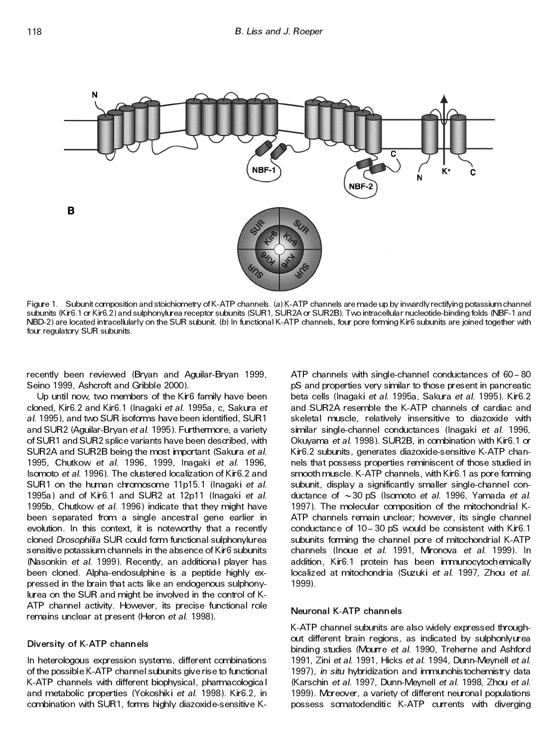

Figure 1. Subunit composition and stoichiometry of K-ATP channels. (*a*)K-ATP channels are made up by inwardly rectifying potassium channel subunits (Kir6.1 or Kir6.2) and sulphonylurea receptor subunits (SUR1, SUR2A or SUR2B). Two intracellular nucleotide-binding folds (NBF-1 and NBD-2) are located intracellularly on the SUR subunit. (*b*) In functional K-ATP channels, four pore forming Kir6 subunits are joined together with four regulatory SUR subunits.

recently been reviewed (Bryan and Aguilar-Bryan 1999, Seino 1999, Ashcroft and Gribble 2000).

Up until now, two members of the Kir6 family have been cloned, Kir6.2 and Kir6.1 (Inagaki *et al*. 1995a, c, Sakura *et al*. 1995), and two SUR isoforms have been identified, SUR1 and SUR2 (Aguilar-Bryan *et al*. 1995). Furthermore, a variety of SUR1 and SUR2 splice variants have been described, with SUR2A and SUR2B being the most important (Sakura *et al*. 1995, Chutkow *et al*. 1996, 1999, Inagaki *et al*. 1996, Isomoto *et al*. 1996). The clustered localization of Kir6.2 and SUR1 on the human chromosome 11p15.1 (Inagaki *et al*. 1995a) and of Kir6.1 and SUR2 at 12p11 (Inagaki *et al*. 1995b, Chutkow *et al*. 1996) indicate that they might have been separated from a single ancestral gene earlier in evolution. In this context, it is noteworthy that a recently cloned *Drosophilia* SUR could form functional sulphonylurea sensitive potassium channels in the absence of Kir6 subunits (Nasonkin *et al*. 1999). Recently, an additiona l player has been cloned. Alpha-endosulphine is a peptide highly ex pressed in the brain that acts like an endogenous sulphonylurea on the SUR and might be involved in the control of K-ATP channel activity. However, its precise functional role remains unclear at present (Heron *et al*. 1998).

## **Diversity of K-ATP channels**

In heterologous expression systems, different combinations of the possible K-ATP channel subunits give rise to functional K-ATP channels with different biophysical, pharmacologica l and metabolic properties (Yokoshiki *et al*. 1998). Kir6.2, in combination with SUR1, forms highly diazoxide-s ensitive K-

ATP channels with single-channel conductances of  $60 - 80$ pS and properties very similar to those present in pancreatic beta cells (Inagaki *et al*. 1995a, Sakura *et al*. 1995). Kir6.2 and SUR2A resemble the K-ATP channels of cardiac and skeletal muscle, relatively insensitive to diazoxide with similar single-channel conductances (Inagaki *et al*. 1996, Okuyama *et al*. 1998). SUR2B, in combination with Kir6.1 or Kir6.2 subunits , generates diazoxide-s ensitive K-ATP chan nels that possess properties reminiscent of those studied in smooth muscle. K-ATP channels, with Kir6.1 as pore forming subunit, display a significantly smaller single-channel con ductance of ~ 30 pS (Isomoto *et al*. 1996, Yamada *et al*. 1997). The molecular composition of the mitochondrial K-ATP channels remain unclear; however, its single channel conductance of  $10 - 30$  pS would be consistent with Kir6.1 subunits forming the channel pore of mitochondrial K-ATP channels (Inoue *et al*. 1991, Mironova *et al*. 1999). In addition, Kir6.1 protein has been immunocytochemically localized at mitochondria (Suzuki *et al*. 1997, Zhou *et al*. 1999).

## **Neuronal K-ATP channels**

K-ATP channel subunits are also widely expressed through out different brain regions, as indicated by sulphonlyurea binding studies (Mourre *et al*. 1990, Treherne and Ashford 1991, Zini *et al*. 1991, Hicks *et al*. 1994, Dunn-Meynell *et al*. 1997), *in situ* hybridization and immunohis tochemistry data (Karschin *et al*. 1997, Dunn-Meynell *et al*. 1998, Zhou *et al*. 1999). Moreover, a variety of different neuronal populations possess somatodenditic K-ATP currents with diverging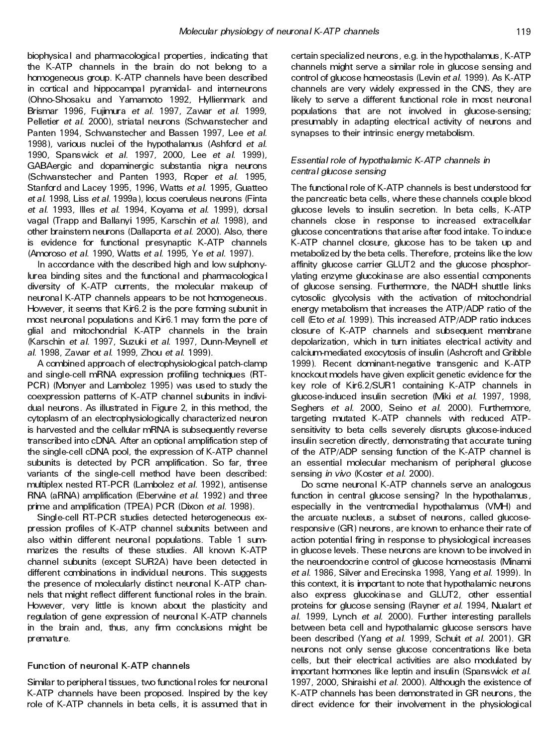biophysica l and pharmacologica l properties , indicating that the K-ATP channels in the brain do not belong to a homogeneous group. K-ATP channels have been described in cortical and hippocampal pyramidal- and interneurons (Ohno-Shosaku and Yamamoto 1992, Hyllienmark and Brismar 1996, Fujimura *et al*. 1997, Zawar *et al*. 1999, Pelletier *et al*. 2000), striatal neurons (Schwanstecher and Panten 1994, Schwanstecher and Bassen 1997, Lee *et al*. 1998), various nuclei of the hypothalamus (Ashford *et al*. 1990, Spanswick *et al*. 1997, 2000, Lee *et al*. 1999), GABAergic and dopaminergic substantia nigra neurons (Schwanstecher and Panten 1993, Roper *et al*. 1995, Stanford and Lacey 1995, 1996, Watts *et al*. 1995, Guatteo *et al*. 1998, Liss *et al*. 1999a), locus coeruleus neurons (Finta *et al*. 1993, Illes *et al*. 1994, Koyama *et al*. 1999), dorsal vagal (Trapp and Ballanyi 1995, Karschin *et al*. 1998), and other brainstem neurons (Dallaporta *et al*. 2000). Also, there is evidence for functional presynaptic K-ATP channels (Amoroso *et al*. 1990, Watts *et al*. 1995, Ye *et al*. 1997).

In accordance with the described high and low sulphonylurea binding sites and the functional and pharmacologica l diversity of K-ATP currents, the molecular makeup of neuronal K-ATP channels appears to be not homogeneous . However, it seems that Kir6.2 is the pore forming subunit in most neuronal populations and Kir6.1 may form the pore of glial and mitochondrial K-ATP channels in the brain (Karschin *et al*. 1997, Suzuki *et al*. 1997, Dunn-Meynell *et al*. 1998, Zawar *et al*. 1999, Zhou *et al*. 1999).

A combined approach of electrophysiological patch-clamp and single-cell mRNA expression profiling techniques (RT- PCR) (Monyer and Lambolez 1995) was used to study the coexpression patterns of K-ATP channel subunits in indivi dual neurons . As illustrated in Figure 2, in this method, the cytoplasm of an electrophysiologically characterized neuron is harvested and the cellular mRNA is subsequently reverse transcribed into cDNA. After an optional amplification step of the single-cell cDNA pool, the expression of K-ATP channel subunits is detected by PCR amplification. So far, three variants of the single-cell method have been described: multiplex nested RT-PCR (Lambolez *et al*. 1992), antisense RNA (aRNA) amplification (Eberwine *et al*. 1992) and three prime and amplification (TPEA) PCR (Dixon *et al*. 1998).

Single-cell RT-PCR studies detected heterogeneous ex pression profiles of K-ATP channel subunits between and also within different neuronal populations. Table 1 sum marizes the results of these studies. All known K-ATP channel subunits (except SUR2A) have been detected in different combinations in individual neurons. This suggests the presence of molecularly distinct neuronal K-ATP chan nels that might reflect different functional roles in the brain. However, very little is known about the plasticity and regulation of gene expression of neuronal K-ATP channels in the brain and, thus, any firm conclusions might be premature.

## **Function of neuronal K-ATP channels**

Similar to peripheral tissues, two functional roles for neuronal K-ATP channels have been proposed. Inspired by the key role of K-ATP channels in beta cells, it is assumed that in

certain specialized neurons , e.g. in the hypothalamus , K-ATP channels might serve a similar role in glucose sensing and control of glucose homeostasis (Levin *et al*. 1999). As K-ATP channels are very widely expressed in the CNS, they are likely to serve a different functional role in most neuronal populations that are not involved in glucose-sensing; presumably in adapting electrical activity of neurons and synapses to their intrinsic energy metabolism.

## *Ess ential role of hypothalamic K-ATP channels in central glucose sensing*

The functional role of K-ATP channels is best understood for the pancreatic beta cells, where these channels couple blood glucose levels to insulin secretion. In beta cells, K-ATP channels close in response to increased extracellular glucose concentrations that arise after food intake. To induce K-ATP channel closure, glucose has to be taken up and metabolized by the beta cells. Therefore, proteins like the low affinity glucose carrier GLUT2 and the glucose phosphor ylating enzyme glucokina se are also essential components of glucose sensing. Furthermore, the NADH shuttle links cytosolic glycolysis with the activation of mitochondrial energy metabolism that increases the ATP/ADP ratio of the cell (Eto *et al*. 1999). This increased ATP/ADP ratio induces closure of K-ATP channels and subsequent membrane depolarization, which in turn initiates electrical activity and calcium-mediated exocytosis of insulin (Ashcroft and Gribble 1999). Recent dominant-negative transgenic and K-ATP knockout models have given explicit genetic evidence for the key role of Kir6.2/SUR1 containing K-ATP channels in glucose-induced insulin secretion (Miki *et al*. 1997, 1998, Seghers *et al*. 2000, Seino *et al*. 2000). Furthermore, targeting mutated K-ATP channels with reduced ATPsensitivity to beta cells severely disrupts glucose-induced insulin secretion directly, demonstrating that accurate tuning of the ATP/ADP sensing function of the K-ATP channel is an essential molecular mechanism of peripheral glucose sensing *in vivo* (Koster *et al*. 2000).

Do some neuronal K-ATP channels serve an analogous function in central glucose sensing? In the hypothalamus, especially in the ventromedial hypothalamus (VMH) and the arcuate nucleus , a subset of neurons, called glucoseresponsive (GR) neurons, are known to enhance their rate of action potential firing in response to physiological increases in glucose levels. These neurons are known to be involved in the neuroendocrine control of glucose homeostasis (Minami *et al*. 1986, Silver and Erecinska 1998, Yang *et al*. 1999). In this context, it is important to note that hypothalamic neurons also express glucokina se and GLUT2, other essential proteins for glucose sensing (Rayner *et al*. 1994, Nualart *et al*. 1999, Lynch *et al*. 2000). Further interesting parallels between beta cell and hypothalamic glucose sensors have been described (Yang *et al*. 1999, Schuit *et al*. 2001). GR neurons not only sense glucose concentrations like beta cells, but their electrical activities are also modulated by important hormones like leptin and insulin (Spanswick *et al*. 1997, 2000, Shiraishi *et al*. 2000). Although the existence of K-ATP channels has been demonstrated in GR neurons , the direct evidence for their involvement in the physiological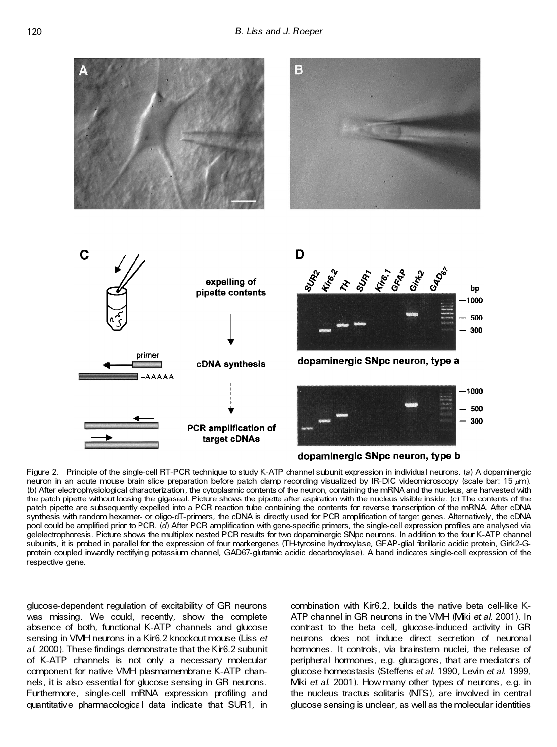

Figure 2. Principle of the single-cell RT-PCR technique to study K-ATP channel subunit expression in individual neurons. (*a*) A dopaminergic neuron in an acute mouse brain slice preparation before patch clamp recording visualized by IR-DIC videomicroscopy (scale bar: 15 *l*m). (*b*) After electrophysiological characterization, the cytoplasmic contents of the neuron, containing the mRNA and the nucleus, are harvested with the patch pipette without loosing the gigaseal. Picture shows the pipette after aspiration with the nucleus visible inside. (*c*) The contents of the patch pipette are subsequently expelled into a PCR reaction tube containing the contents for reverse transcription of the mRNA. After cDNA synthesis with random hexamer- or oligo-dT-primers, the cDNA is directly used for PCR amplification of target genes. Alternatively, the cDNA pool could be amplified prior to PCR. (*d*) After PCR amplification with gene-specific primers, the single-cell expression profiles are analysed via gelelectrophoresis. Picture shows the multiplex nested PCR results for two dopaminergic SNpc neurons. In addition to the four K-ATP channel subunits, it is probed in parallel for the expression of four markergenes (TH-tyrosine hydroxylase, GFAP-glial fibrillaric acidic protein, Girk2-G protein coupled inwardly rectifying potassium channel, GAD67-glutamic acidic decarboxylase). A band indicates single-cell expression of the respective gene.

glucose-dependent regulation of excitability of GR neurons was missing. We could, recently, show the complete absence of both, functional K-ATP channels and glucose sensing in VMH neurons in a Kir6.2 knockout mouse (Liss *et al*. 2000). These findings demonstrate that the Kir6.2 subunit of K-ATP channels is not only a necessary molecular component for native VMH plasmamembrane K-ATP chan nels, it is also essential for glucose sensing in GR neurons . Furthermore, single-cell mRNA expression profiling and quantitativ e pharmacologica l data indicate that SUR1, in

combination with Kir6.2, builds the native beta cell-like K-ATP channel in GR neurons in the VMH (Miki *et al*. 2001). In contrast to the beta cell, glucose-induced activity in GR neurons does not induce direct secretion of neuronal hormones. It controls, via brainstem nuclei, the release of peripheral hormones , e.g. glucagons , that are mediators of glucose homeostasis (Steffens *et al*. 1990, Levin *et al*. 1999, Miki *et al*. 2001). How many other types of neurons , e.g. in the nucleus tractus solitaris (NTS), are involved in central glucose sensing is unclear, as well as the molecular identities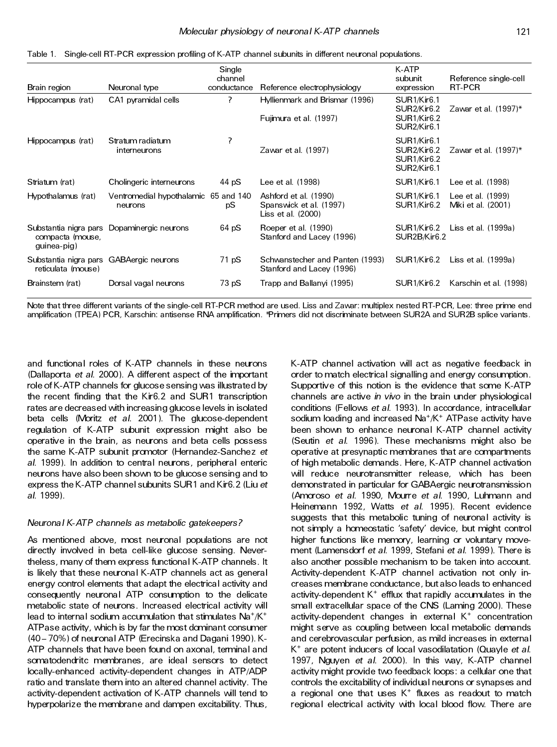| Brain region                                                   | Neuronal type                                   | Single<br>channel<br>conductance | Reference electrophysiology                                            | K-ATP<br>subunit<br>expression                                                                                                      | Reference single-cell<br>RT-PCR         |
|----------------------------------------------------------------|-------------------------------------------------|----------------------------------|------------------------------------------------------------------------|-------------------------------------------------------------------------------------------------------------------------------------|-----------------------------------------|
| Hippocampus (rat)                                              | CA1 pyramidal cells                             | 7                                | Hyllienmark and Brismar (1996)<br>Fujimura et al. (1997)               | SUR <sub>1</sub> /Kir <sub>6.1</sub><br>SUR2/Kr6.2<br>SUR <sub>1</sub> /Kir <sub>6.2</sub><br>SUR <sub>2</sub> /Kir <sub>6.1</sub>  | Zawar et al. $(1997)^*$                 |
| Hippocampus (rat)                                              | Stratum radiatum<br>interneurons                | ?                                | Zawar et al. (1997)                                                    | SUR1/Kir6.1<br>SUR <sub>2</sub> /Kir <sub>6.2</sub><br>SUR <sub>1</sub> /Kir <sub>6.2</sub><br>SUR <sub>2</sub> /Kir <sub>6.1</sub> | Zawar et al. $(1997)^*$                 |
| Striatum (rat)                                                 | Cholingeric interneurons                        | 44 pS                            | Lee et al. (1998)                                                      | SUR <sub>1</sub> /Kir <sub>6.1</sub>                                                                                                | Lee et al. (1998)                       |
| Hypothalamus (rat)                                             | Ventromedial hypothalamic 65 and 140<br>neurons | pS                               | Ashford et al. (1990)<br>Spanswick et al. (1997)<br>Liss et al. (2000) | SUR1/Kir6.1<br>SUR <sub>1</sub> /Kir <sub>6.2</sub>                                                                                 | Lee et al. (1999)<br>Miki et al. (2001) |
| compacta (mouse,<br>guinea-pig)                                | Substantia nigra pars Dopaminergic neurons      | 64 pS                            | Roeper et al. (1990)<br>Stanford and Lacey (1996)                      | SUR <sub>1</sub> /Kir <sub>6.2</sub><br>SUR2B/Kir6.2                                                                                | Liss et al. (1999a)                     |
| Substantia nigra pars GABA ergic neurons<br>reticulata (mouse) |                                                 | 71 pS                            | Schwanstecher and Panten (1993)<br>Stanford and Lacey (1996)           | SUR <sub>1</sub> /Kir <sub>6.2</sub>                                                                                                | Liss et al. (1999a)                     |
| Brainstem (rat)                                                | Dorsal vagal neurons                            | 73 pS                            | Trapp and Ballanyi (1995)                                              | SUR <sub>1</sub> /Kir <sub>6.2</sub>                                                                                                | Karschin et al. (1998)                  |

Table 1. Single-cell RT-PCR expression profiling of K-ATP channel subunits in different neuronal populations.

Note that three different variants of the single-cell RT-PCR method are used. Liss and Zawar: multiplex nested RT-PCR, Lee: three prime end amplification (TPEA) PCR, Karschin: antisense RNA amplification. \*Primers did not discriminate between SUR2A and SUR2B splice variants .

and functional roles of K-ATP channels in these neurons (Dallaporta *et al*. 2000). A different aspect of the important role of K-ATP channels for glucose sensing was illustrated by the recent finding that the Kir6.2 and SUR1 transcription rates are decreased with increasing glucose levels in isolated beta cells (Moritz *et al*. 2001). The glucose-dependent regulation of K-ATP subunit expression might also be operative in the brain, as neurons and beta cells possess the same K-ATP subunit promotor (Hernandez-Sanchez *et al*. 1999). In addition to central neurons , peripheral enteric neurons have also been shown to be glucose sensing and to express the K-ATP channel subunits SUR1 and Kir6.2 (Liu *et al*. 1999).

### *Neuronal K-ATP channels as metabolic gatekeepers?*

As mentioned above, most neuronal populations are not directly involved in beta cell-like glucose sensing. Nevertheless, many of them express functional K-ATP channels . It is likely that these neuronal K-ATP channels act as general energy control elements that adapt the electrical activity and consequently neuronal ATP consumption to the delicate metabolic state of neurons . Increased electrical activity will lead to internal sodium accumulation that stimulates Na<sup>+</sup>/K<sup>+</sup> ATPase activity, which is by far the most dominant consumer (40 - 70%) of neuronal ATP (Erecinska and Dagani 1990). K-ATP channels that have been found on axonal, terminal and somatodendritc membranes, are ideal sensors to detect locally-enhanced activity-dependent changes in ATP/ADP ratio and translate them into an altered channel activity. The activity-dependent activation of K-ATP channels will tend to hyperpolarize the membrane and dampen excitability. Thus,

K-ATP channel activation will act as negative feedback in order to match electrical signalling and energy consumption. Supportive of this notion is the evidence that some K-ATP channels are active *in vivo* in the brain under physiological conditions (Fellows *et al*. 1993). In accordance, intracellular sodium loading and increased Na<sup>+</sup> /K<sup>+</sup> ATPase activity have been shown to enhance neuronal K-ATP channel activity (Seutin *et al*. 1996). These mechanisms might also be operative at presynaptic membranes that are compartments of high metabolic demands . Here, K-ATP channel activation will reduce neurotransmitter release, which has been demonstrated in particular for GABAergic neurotransmission (Amoroso *et al*. 1990, Mourre *et al*. 1990, Luhmann and Heinemann 1992, Watts *et al*. 1995). Recent evidence suggests that this metabolic tuning of neuronal activity is not simply a homeostatic 'safety' device, but might control higher functions like memory, learning or voluntary move ment (Lamensdorf *et al*. 1999, Stefani *et al*. 1999). There is also another possible mechanism to be taken into account. Activity-dependent K-ATP channel activation not only in creases membrane conductance, but also leads to enhanced activity-dependent K <sup>+</sup> efflux that rapidly accumulates in the small extracellular space of the CNS (Laming 2000). These activity-dependent changes in external K <sup>+</sup> concentration might serve as coupling between local metabolic demands and cerebrovascular perfusion, as mild increases in external K <sup>+</sup> are potent inducers of local vasodilatation (Quayle *et al*. 1997, Nguyen *et al*. 2000). In this way, K-ATP channel activity might provide two feedback loops : a cellular one that controls the excitability of individual neurons or synapses and a regional one that uses K + fluxes as readout to match regional electrical activity with local blood flow. There are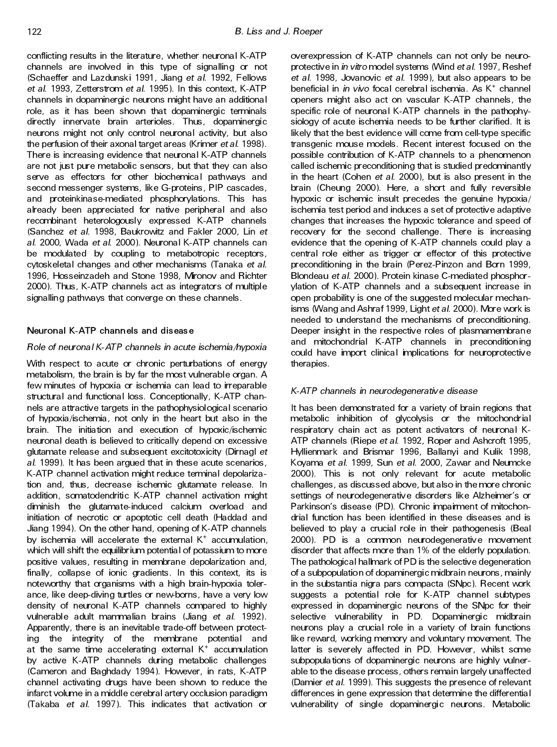conflicting results in the literature, whether neuronal K-ATP channels are involved in this type of signalling or not (Schaeffer and Lazdunski 1991, Jiang *et al*. 1992, Fellows *et al*. 1993, Zetterstrom *et al*. 1995). In this context, K-ATP channels in dopaminergic neurons might have an additional role, as it has been shown that dopaminergic terminals directly innervate brain arterioles. Thus, dopaminergic neurons might not only control neuronal activity, but also the perfusion of their axonal target areas (Krimer *et al*. 1998). There is increasing evidence that neuronal K-ATP channels are not just pure metabolic sensors, but that they can also serve as effectors for other biochemical pathways and second messenger systems, like G-proteins , PIP cascades, and proteinkinase-mediated phosphorylations. This has already been appreciated for native peripheral and also recombinant heterologously expressed K-ATP channels (Sanchez *et al*. 1998, Baukrowitz and Fakler 2000, Lin *et al*. 2000, Wada *et al*. 2000). Neuronal K-ATP channels can be modulated by coupling to metabotropic receptors, cytoskeletal changes and other mechanisms (Tanaka *et al*. 1996, Hosseinzadeh and Stone 1998, Mironov and Richter 2000). Thus, K-ATP channels act as integrators of multiple signalling pathways that converge on these channels .

## **Neuronal K-ATP channels and disease**

## *Role of neuronal K-ATP channels in acute ischemia/hypoxia*

With respect to acute or chronic perturbations of energy metabolism, the brain is by far the most vulnerable organ. A few minutes of hypoxia or ischemia can lead to irreparable structural and functional loss. Conceptionally, K-ATP chan nels are attractive targets in the pathophysiological scenario of hypoxia/ischemia, not only in the heart but also in the brain. The initiation and execution of hypoxic/ischemic neuronal death is believed to critically depend on excessive glutamate release and subsequent excitotoxicity (Dirnagl *et al*. 1999). It has been argued that in these acute scenarios , K-ATP channel activation might reduce terminal depolarization and, thus, decrease ischemic glutamate release. In addition, somatodendritic K-ATP channel activation might diminish the glutamate-induced calcium overload and initiation of necrotic or apoptotic cell death (Haddad and Jiang 1994). On the other hand, opening of K-ATP channels by ischemia will accelerate the external K<sup>+</sup> accumulation, which will shift the equilibrium potential of potassium to more positive values, resulting in membrane depolarization and, finally, collapse of ionic gradients. In this context, its is noteworthy that organisms with a high brain-hypoxia toler ance, like deep-diving turtles or new-borns , have a very low density of neuronal K-ATP channels compared to highly vulnerable adult mammalian brains (Jiang *et al*. 1992). Apparently, there is an inevitable trade-off between protecting the integrity of the membrane potential and at the same time accelerating external K <sup>+</sup> accumulation by active K-ATP channels during metabolic challenges (Cameron and Baghdady 1994). However, in rats, K-ATP channel activating drugs have been shown to reduce the infarct volume in a middle cerebral artery occlusion paradigm (Takaba *et al*. 1997). This indicates that activation or

overexpression of K-ATP channels can not only be neuro protective in *in vitro* model systems (Wind *et al*. 1997, Reshef *et al*. 1998, Jovanovic *et al*. 1999), but also appears to be beneficial in *in vivo* focal cerebral ischemia. As K <sup>+</sup> channel openers might also act on vascular K-ATP channels , the specific role of neuronal K-ATP channels in the pathophysiology of acute ischemia needs to be further clarified. It is likely that the best evidence will come from cell-type specific transgenic mouse models. Recent interest focused on the possible contribution of K-ATP channels to a phenomenon called ischemic preconditioning that is studied predominantly in the heart (Cohen *et al*. 2000), but is also present in the brain (Cheung 2000). Here, a short and fully reversible hypoxic or ischemic insult precedes the genuine hypoxia/ ischemia test period and induces a set of protective adaptive changes that increases the hypoxic tolerance and speed of recovery for the second challenge. There is increasing evidence that the opening of K-ATP channels could play a central role either as trigger or effector of this protective preconditioning in the brain (Perez-Pinzon and Born 1999, Blondeau *et al*. 2000). Protein kinase C-mediated phosphor ylation of K-ATP channels and a subsequent increase in open probability is one of the suggested molecular mechanisms (Wang and Ashraf 1999, Light *et al*. 2000). More work is needed to understand the mechanisms of preconditioning. Deeper insight in the respective roles of plasmamembrane and mitochondrial K-ATP channels in preconditioning could have import clinical implications for neuroprotective therapies.

## *K-ATP channels in neurodegenerativ e disease*

It has been demonstrated for a variety of brain regions that metabolic inhibition of glycolysis or the mitochondrial respiratory chain act as potent activators of neuronal K-ATP channels (Riepe *et al*. 1992, Roper and Ashcroft 1995, Hyllienmark and Brismar 1996, Ballanyi and Kulik 1998, Koyama *et al*. 1999, Sun *et al*. 2000, Zawar and Neumcke 2000). This is not only relevant for acute metabolic challenges, as discus sed above, but also in the more chronic settings of neurodegenerative disorders like Alzheimer's or Parkinson's disease (PD). Chronic impairment of mitochon drial function has been identified in these diseases and is believed to play a crucial role in their pathogenesis (Beal 2000). PD is a common neurodegenerative movement disorder that affects more than 1% of the elderly population. The pathological hallmark of PD is the selective degeneration of a subpopulation of dopaminergic midbrain neurons , mainly in the substantia nigra pars compacta (SNpc). Recent work suggests a potential role for K-ATP channel subtypes expressed in dopaminergic neurons of the SNpc for their selective vulnerability in PD. Dopaminergic midbrain neurons play a crucial role in a variety of brain functions like reward, working memory and voluntary movement. The latter is severely affected in PD. However, whilst some subpopula tions of dopaminergic neurons are highly vulner able to the disease process, others remain largely unaffected (Damier *et al*. 1999). This suggests the presence of relevant differences in gene expression that determine the differential vulnerability of single dopaminergic neurons. Metabolic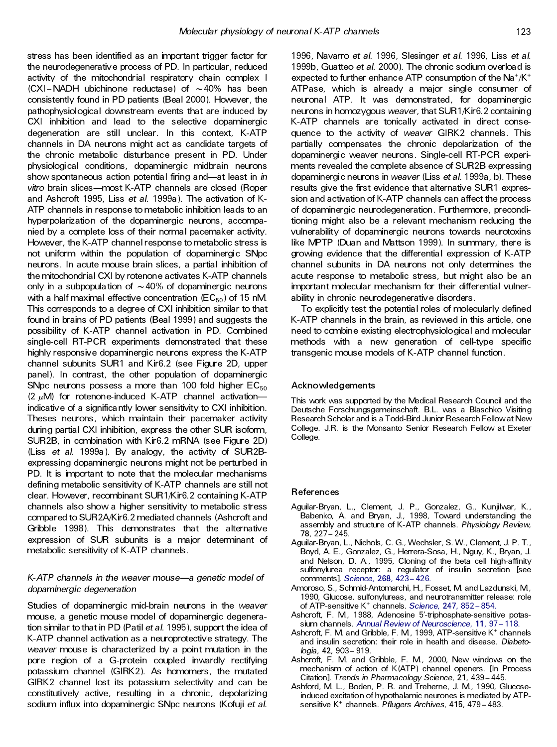stress has been identified as an important trigger factor for the neurodegenerativ e process of PD. In particular, reduced activity of the mitochondrial respiratory chain complex I  $(CXI - NADH$  ubichinone reductase) of  $\sim$  40% has been consistently found in PD patients (Beal 2000). However, the pathophysiological downstream events that are induced by CXI inhibition and lead to the selective dopaminergic degeneration are still unclear. In this context, K-ATP channels in DA neurons might act as candidate targets of the chronic metabolic disturbance present in PD. Under physiological conditions, dopaminergic midbrain neurons show spontaneous action potential firing and—at least in *in* vitro brain slices-most K-ATP channels are closed (Roper and Ashcroft 1995, Liss *et al*. 1999a). The activation of K-ATP channels in response to metabolic inhibition leads to an hyperpolarization of the dopaminergic neurons, accompanied by a complete loss of their normal pacemaker activity. However, the K-ATP channel response to metabolic stress is not uniform within the population of dopaminergic SNpc neurons . In acute mouse brain slices, a partial inhibition of the mitochondrial CXI by rotenone activates K-ATP channels only in a subpopulation of  $\sim$  40% of dopaminergic neurons with a half maximal effective concentration  $(EC_{50})$  of 15 nM. This corresponds to a degree of CXI inhibition similar to that found in brains of PD patients (Beal 1999) and suggests the possibility of K-ATP channel activation in PD. Combined single-cell RT-PCR experiments demonstrated that these highly responsive dopaminergic neurons express the K-ATP channel subunits SUR1 and Kir6.2 (see Figure 2D, upper panel). In contrast, the other population of dopaminergic SNpc neurons possess a more than 100 fold higher  $EC_{50}$ (2  $\mu$ M) for rotenone-induced K-ATP channel activationindicativ e of a significantly lower sensitivity to CXI inhibition. Theses neurons, which maintain their pacemaker activity during partial CXI inhibition, express the other SUR isoform, SUR2B, in combination with Kir6.2 mRNA (see Figure 2D) (Liss *et al*. 1999a). By analogy, the activity of SUR2B expressing dopaminergic neurons might not be perturbed in PD. It is important to note that the molecular mechanisms defining metabolic sensitivity of K-ATP channels are still not clear. However, recombinant SUR1/Kir6.2 containing K-ATP channels also show a higher sensitivity to metabolic stress compared to SUR2A/Kir6.2 mediated channels (Ashcroft and Gribble 1998). This demonstrates that the alternative expression of SUR subunits is a major determinant of metabolic sensitivity of K-ATP channels .

## *K*-ATP channels in the weaver mouse—a genetic model of *dopaminergic degeneration*

Studies of dopaminergic mid-brain neurons in the *weaver* mouse, a genetic mouse model of dopaminergic degeneration similar to that in PD (Patil *et al*. 1995), support the idea of K-ATP channel activation as a neuroprotective strategy. The *weaver* mouse is characterized by a point mutation in the pore region of a G-protein coupled inwardly rectifying potassium channel (GIRK2). As homomers, the mutated GIRK2 channel lost its potassium selectivity and can be constitutively active, resulting in a chronic, depolarizing sodium influx into dopaminergic SNpc neurons (Kofuji *et al*.

1996, Navarro *et al*. 1996, Slesinger *et al*. 1996, Liss *et al*. 1999b, Guatteo *et al*. 2000). The chronic sodium overload is expected to further enhance ATP consumption of the  $\mathsf{Na^+/K^+}$ ATPase, which is already a major single consumer of neuronal ATP. It was demonstrated, for dopaminergic neurons in homozygous *weaver*, that SUR1/Kir6.2 containing K-ATP channels are tonically activated in direct conse quence to the activity of *weaver* GIRK2 channels . This partially compensates the chronic depolarization of the dopaminergic weaver neurons . Single-cell RT-PCR experi ments revealed the complete absence of SUR2B expressing dopaminergic neurons in *weaver* (Liss *et al*. 1999a, b). These results give the first evidence that alternative SUR1 expression and activation of K-ATP channels can affect the process of dopaminergic neurodegeneration. Furthermore, preconditioning might also be a relevant mechanism reducing the vulnerability of dopaminergic neurons towards neurotoxins like MPTP (Duan and Mattson 1999). In summary, there is growing evidence that the differential expression of K-ATP channel subunits in DA neurons not only determines the acute response to metabolic stress, but might also be an important molecular mechanism for their differential vulnerability in chronic neurodegenerativ e disorders.

To explicitly test the potential roles of molecularly defined K-ATP channels in the brain, as reviewed in this article, one need to combine existing electrophysiological and molecular methods with a new generation of cell-type specific transgenic mouse models of K-ATP channel function.

#### **Acknowledgements**

This work was supported by the Medical Research Council and the Deutsche Forschungsgemeinschaft. B.L. was a Blaschko Visiting Research Scholar and is a Todd-Bird Junior Research Fellowat New College. J.R. is the Monsanto Senior Research Fellow at Exeter College.

#### **References**

- Aguilar-Bryan, L., Clement, J. P., Gonzalez, G., Kunjilwar, K., Babenko, A. and Bryan, J., 1998, Toward understanding the assembly and structure of K-ATP channels. *Physiology Review*, **78,** 227± 245.
- Aguilar-Bryan, L., Nichols, C. G., Wechsler, S. W., Clement, J. P. T., Boyd, A. E., Gonzalez, G., Herrera-Sosa, H., Nguy, K., Bryan, J. and Nelson, D. A., 1995, Cloning of the beta cell high-affinity sulfonylurea receptor: a regulator of insulin secretion [see comments]. *[Science](http://rosina.catchword.com/nw=1/rpsv/0036-8075^28^29268L.423[aid=164199])*, **268,** 423± 426.
- Amoroso, S., Schmid-Antomarchi, H., Fosset, M. and Lazdunski, M., 1990, Glucose, sulfonylureas, and neurotransmitter release: role of ATP-sensitive K<sup>+</sup> channels. *[Science](http://rosina.catchword.com/nw=1/rpsv/0036-8075^28^29247L.852[aid=1493608]),* 247, 852-854.
- Ashcroft, F. M., 1988, Adenosine 5'-triphosphate-sensitive potas-sium channels. Annual Review of [Neuroscience](http://rosina.catchword.com/nw=1/rpsv/0147-006X^28^2911L.97[aid=1493609]), 11, 97 - 118.
- Ashcroft, F. M. and Gribble, F. M, 1999, ATP-sensitive K<sup>+</sup> channels and insulin secretion: their role in health and disease. *Diabetologia*, **42,** 903± 919.
- Ashcroft, F. M. and Gribble, F. M., 2000, New windows on the mechanism of action of K(ATP) channel openers. [In Process Citation]. *Trends in Pharmacology Science*, **21,** 439± 445.
- Ashford, M. L., Boden, P. R. and Treherne, J. M., 1990, Glucoseinduced excitation of hypothalamic neurones is mediated by ATPsensitive K <sup>+</sup> channels. *Pflugers Archives*, **415,** 479± 483.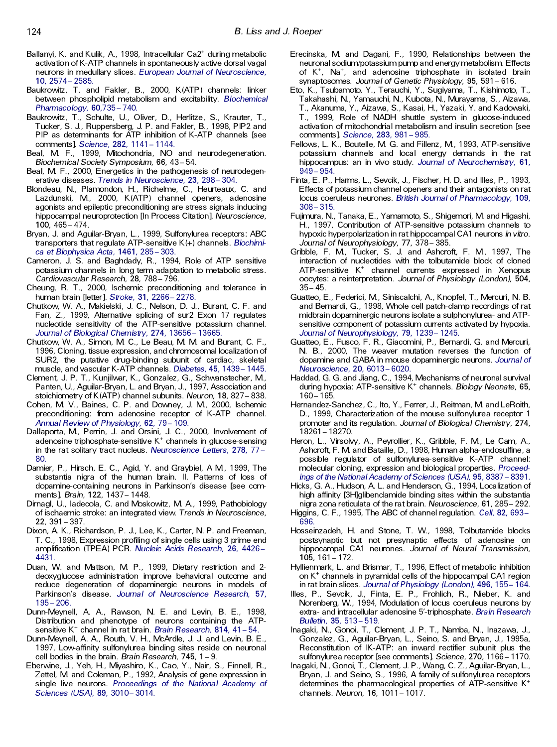- Ballanyi, K. and Kulik, A., 1998, Intracellular Ca2<sup>+</sup> during metabolic activation of K-ATP channels in spontaneously active dorsal vagal neurons in medullary slices. *European Journal of [Neuroscience](http://rosina.catchword.com/nw=1/rpsv/0953-816X^28^2910L.2574[aid=1493611])*, **10,** 2574± [2585.](http://rosina.catchword.com/nw=1/rpsv/0953-816X^28^2910L.2574[aid=1493611])
- Baukrowitz, T. and Fakler, B., 2000, K(ATP) channels: linker between phospholipid metabolism and excitability. *[Biochemical](http://rosina.catchword.com/nw=1/rpsv/0006-2952^28^2960L.735[aid=1493612]) [Pharmacology](http://rosina.catchword.com/nw=1/rpsv/0006-2952^28^2960L.735[aid=1493612])*, **60,**735± 740.
- Baukrowitz, T., Schulte, U., Oliver, D., Herlitze, S., Krauter, T., Tucker, S. J., Ruppersberg, J. P. and Fakler, B., 1998, PIP2 and PIP as determinants for ATP inhibition of K-ATP channels [see comments]. *[Science](http://rosina.catchword.com/nw=1/rpsv/0036-8075^28^29282L.1141[aid=1493613])*, **282,** 1141± 1144.
- Beal, M. F., 1999, Mitochondria, NO and neurodegeneration. **Biochemical Society Symposium, 66, 43-54.**
- Beal, M. F., 2000, Energetics in the pathogenesis of neurodegen erative diseases. *Trends in [Neuroscience](http://rosina.catchword.com/nw=1/rpsv/0166-2236^28^2923L.298[aid=1493615])*, 23, 298-304.
- Blondeau, N., Plamondon, H., Richelme, C., Heurteaux, C. and Lazdunski, M., 2000, K(ATP) channel openers, adenosine agonists and epileptic preconditioning are stress signals inducing hippocampal neuroprotection [In Process Citation]. *Neuroscience*, **100,** 465± 474.
- Bryan, J. and Aguilar-Bryan, L., 1999, Sulfonylurea receptors: ABC transporters that regulate ATP-sensitive K(+) channels. *[Biochimi](http://rosina.catchword.com/nw=1/rpsv/0006-3002^28^291461L.285[aid=1493617]) ca et [Biophysica](http://rosina.catchword.com/nw=1/rpsv/0006-3002^28^291461L.285[aid=1493617]) Acta*, **1461,** 285± 303.
- Cameron, J. S. and Baghdady, R., 1994, Role of ATP sensitive potassium channels in long term adaptation to metabolic stress. *Cardiovascular Research*, **28,** 788± 796.
- Cheung, R. T., 2000, Ischemic preconditioning and tolerance in human brain [letter]. *[Stroke](http://rosina.catchword.com/nw=1/rpsv/0039-2499^28^2931L.2266[aid=1493619])*, **31,** 2266± 2278.
- Chutkow, W. A., Makielski, J. C., Nelson, D. J., Burant, C. F. and Fan, Z., 1999, Alternative splicing of sur2 Exon 17 regulates nucleotide sensitivity of the ATP-sensitive potassium channel. *Journal of Biological [Chemistry](http://rosina.catchword.com/nw=1/rpsv/0021-9258^28^29274L.13656[aid=1493620])*, **274,** 13656± 13665.
- Chutkow, W. A., Simon, M. C., Le Beau, M. M. and Burant, C. F., 1996, Cloning, tissue expression, and chromosomal localization of SUR2, the putative drug-binding subunit of cardiac, skeletal muscle, and vascular K-ATP channels. *[Diabetes](http://rosina.catchword.com/nw=1/rpsv/0012-1797^28^2945L.1439[aid=1493621])*, 45, 1439 - 1445.
- Clement, J. P. T., Kunjilwar, K., Gonzalez, G., Schwanstecher, M., Panten, U., Aguilar-Bryan, L. and Bryan, J., 1997, Association and stoichiometry of K(ATP) channel subunits. Neuron, 18, 827-838.
- Cohen, M. V., Baines, C. P. and Downey, J. M., 2000, Ischemic preconditioning: from adenosine receptor of K-ATP channel. *Annual Review of [Physiology](http://rosina.catchword.com/nw=1/rpsv/0066-4278^28^2962L.79[aid=1493623])*, **62,** 79± 109.
- Dallaporta, M., Perrin, J. and Orsini, J. C., 2000, Involvement of adenosine triphosphate-sensitive K <sup>+</sup> channels in glucose-sensing in the rat solitary tract nucleus. [Neuroscience](http://rosina.catchword.com/nw=1/rpsv/0304-3940^28^29278L.77[aid=1493624]) Letters, 278, 77 -[80.](http://rosina.catchword.com/nw=1/rpsv/0304-3940^28^29278L.77[aid=1493624])
- Damier, P., Hirsch, E. C., Agid, Y. and Graybiel, A M, 1999, The substantia nigra of the human brain. II. Patterns of loss of dopamine-containing neurons in Parkinson's disease [see com ments]. *Brain*, 122, 1437-1448.
- Dirnagl, U., Iadecola, C. and Moskowitz, M. A., 1999, Pathobiology of ischaemic stroke: an integrated view. *Trends in Neuroscience*, **22,** 391± 397.
- Dixon, A. K., Richardson, P. J., Lee, K., Carter, N. P. and Freeman, T. C., 1998, Expression profiling of single cells using 3 prime end amplification (TPEA) PCR. *Nucleic Acids [Research](http://rosina.catchword.com/nw=1/rpsv/0305-1048^28^2926L.4426[aid=1493627])*, **26,** 4426± [4431.](http://rosina.catchword.com/nw=1/rpsv/0305-1048^28^2926L.4426[aid=1493627])
- Duan, W. and Mattson, M. P., 1999, Dietary restriction and 2 deoxyglucose administration improve behavioral outcome and reduce degeneration of dopaminergic neurons in models of Parkinson's disease. *Journal of [Neuroscience](http://rosina.catchword.com/nw=1/rpsv/0360-4012^28^2957L.195[aid=1493628]) Research*, **57,** 195± [206.](http://rosina.catchword.com/nw=1/rpsv/0360-4012^28^2957L.195[aid=1493628])
- Dunn-Meynell, A. A., Rawson, N. E. and Levin, B. E., 1998, Distribution and phenotype of neurons containing the ATPsensitive K<sup>+</sup> channel in rat brain. *Brain [Research](http://rosina.catchword.com/nw=1/rpsv/0006-8993^28^29814L.41[aid=1493629]),* 814, 41 – 54.
- Dunn-Meynell, A. A., Routh, V. H., McArdle, J. J. and Levin, B. E., 1997, Low-affinity sulfonylurea binding sites reside on neuronal cell bodies in the brain. *Brain Research*, 745, 1 - 9.
- Eberwine, J., Yeh, H., Miyashiro, K., Cao, Y., Nair, S., Finnell, R., Zettel, M. and Coleman, P., 1992, Analysis of gene expression in single live neurons. *[Proceedings](http://rosina.catchword.com/nw=1/rpsv/0027-8424^28^2989L.3010[aid=534236]) of the National Academy of [Sciences](http://rosina.catchword.com/nw=1/rpsv/0027-8424^28^2989L.3010[aid=534236]) (USA)*, **89,** 3010± 3014.
- Erecinska, M. and Dagani, F., 1990, Relationships between the neuronal sodium/potassium pump and energy metabolism. Effects of K<sup>+</sup>, Na<sup>+</sup>, and adenosine triphosphate in isolated brain synaptosomes. Journal of Genetic Physiology, 95, 591-616.
- Eto, K., Tsubamoto, Y., Terauchi, Y., Sugiyama, T., Kishimoto, T., Takahashi, N., Yamauchi, N., Kubota, N., Murayama, S., Aizawa, T., Akanuma, Y., Aizawa, S., Kasai, H., Yazaki, Y. and Kadowaki, T., 1999, Role of NADH shuttle system in glucose-induced activation of mitochondrial metabolism and insulin secretion [see comments]. *[Science](http://rosina.catchword.com/nw=1/rpsv/0036-8075^28^29283L.981[aid=794007])*, **283,** 981± 985.
- Fellows, L. K., Boutelle, M. G. and Fillenz, M., 1993, ATP-sensitive potassium channels and local energy demands in the rat hippocampus: an in vivo study. *Journal of [Neurochemistry](http://rosina.catchword.com/nw=1/rpsv/0022-3042^28^2961L.949[aid=1493631])*, **61,** 949± [954.](http://rosina.catchword.com/nw=1/rpsv/0022-3042^28^2961L.949[aid=1493631])
- Finta, E. P., Harms, L., Sevcik, J., Fischer, H. D. and Illes, P., 1993, Effects of potassium channel openers and their antagonists on rat locus coeruleus neurones. *British Journal of [Pharmacology](http://rosina.catchword.com/nw=1/rpsv/0007-1188^28^29109L.308[aid=1493632])*, **109,** 308± [315.](http://rosina.catchword.com/nw=1/rpsv/0007-1188^28^29109L.308[aid=1493632])
- Fujimura, N., Tanaka, E., Yamamoto, S., Shigemori, M. and Higashi, H., 1997, Contribution of ATP-sensitive potassium channels to hypoxic hyperpolarization in rat hippocampal CA1 neurons *in vitro*. *Journal of Neurophysiology*, **77,** 378± 385.
- Gribble, F. M., Tucker, S. J. and Ashcroft, F. M., 1997, The interaction of nucleotides with the tolbutamide block of cloned ATP-sensitive K <sup>+</sup> channel currents expressed in Xenopus oocytes: a reinterpretation. *Journal of Physiology (London)*, **504,**  $35 - 45.$
- Guatteo, E., Federici, M., Siniscalchi, A., Knopfel, T., Mercuri, N. B. and Bernardi, G., 1998, Whole cell patch-clamp recordings of rat midbrain dopaminergic neurons isolate a sulphonylurea- and ATPsensitive component of potassium currents activated by hypoxia. *Journal of [Neurophysiology](http://rosina.catchword.com/nw=1/rpsv/0022-3077^28^2979L.1239[aid=1493635])*, **79,** 1239± 1245.
- Guatteo, E., Fusco, F. R., Giacomini, P., Bernardi, G. and Mercuri, N. B., 2000, The weaver mutation reverses the function of dopamine and GABA in mouse dopaminergic neurons. *[Journal](http://rosina.catchword.com/nw=1/rpsv/0270-6474^28^2920L.6013[aid=1493636]) of [Neuroscience](http://rosina.catchword.com/nw=1/rpsv/0270-6474^28^2920L.6013[aid=1493636])*, **20,** 6013± 6020.
- Haddad, G. G. and Jiang, C., 1994, Mechanisms of neuronal survival during hypoxia: ATP-sensitive K <sup>+</sup> channels. *Biology Neonate*, **65,** 160± 165.
- Hernandez-Sanchez, C., Ito, Y., Ferrer, J., Reitman, M. and LeRoith, D., 1999, Characterization of the mouse sulfonylurea receptor 1 promoter and its regulation. *Journal of Biological Chemistry*, **274,** 18261± 18270.
- Heron, L., Virsolvy, A., Peyrollier, K., Gribble, F. M., Le Cam, A., Ashcroft, F. M. and Bataille, D., 1998, Human alpha-endosulfine, a possible regulator of sulfonylurea-sensitive K-ATP channel: molecular cloning, expression and biological properties. *[Proceed](http://rosina.catchword.com/nw=1/rpsv/0027-8424^28^2995L.8387[aid=1493639])ings of the National [Academy](http://rosina.catchword.com/nw=1/rpsv/0027-8424^28^2995L.8387[aid=1493639]) of Sciences (USA)*, **95,** 8387± 8391.
- Hicks, G. A., Hudson, A. L. and Henderson, G., 1994, Localization of high affinity [3H]glibenclamide binding sites within the substantia nigra zona reticulata of the rat brain. *Neuroscience*, 61, 285 - 292.
- Higgins, C. F., 1995, The ABC of channel regulation. *Cell*, 82, [693](http://rosina.catchword.com/nw=1/rpsv/0092-8674^28^2982L.693[aid=1493641])-[696.](http://rosina.catchword.com/nw=1/rpsv/0092-8674^28^2982L.693[aid=1493641])
- Hosseinzadeh, H. and Stone, T. W., 1998, Tolbutamide blocks postsynaptic but not presynaptic effects of adenosine on hippocampal CA1 neurones. *Journal of Neural Transmission*, **105,** 161± 172.
- Hyllienmark, L. and Brismar, T., 1996, Effect of metabolic inhibition on K <sup>+</sup> channels in pyramidal cells of the hippocampal CA1 region in rat brain slices. *Journal of [Physiology](http://rosina.catchword.com/nw=1/rpsv/0022-3751^28^29496L.155[aid=1493643]) (London)*, **496,** 155± 164.
- Illes, P., Sevcik, J., Finta, E. P., Frohlich, R., Nieber, K. and Norenberg, W., 1994, Modulation of locus coeruleus neurons by extra- and intracellular adenosine 5'-triphosphate. *Brain [Research](http://rosina.catchword.com/nw=1/rpsv/0361-9230^28^2935L.513[aid=1493644]) [Bulletin](http://rosina.catchword.com/nw=1/rpsv/0361-9230^28^2935L.513[aid=1493644])*, **35,** 513± 519.
- Inagaki, N., Gonoi, T., Clement, J. P. T., Namba, N., Inazawa, J., Gonzalez, G., Aguilar-Bryan, L., Seino, S. and Bryan, J., 1995a, Reconstitution of IK-ATP: an inward rectifier subunit plus the sulfonylurea receptor [see comments]. *Science*, 270, 1166 - 1170.
- Inagaki, N., Gonoi, T., Clement, J. P., Wang, C. Z., Aguilar-Bryan, L., Bryan, J. and Seino, S., 1996, A family of sulfonylurea receptors determines the pharmacological properties of ATP-sensitive K<sup>+</sup> channels. *Neuron*, **16,** 1011± 1017.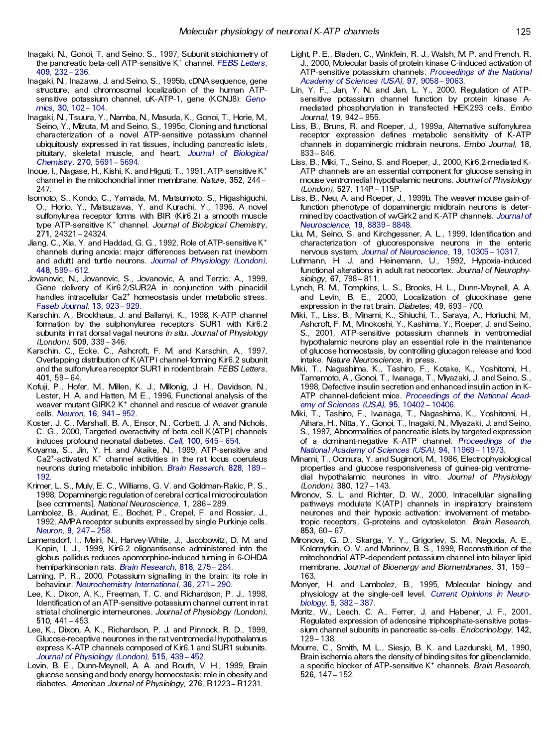- Inagaki, N., Gonoi, T. and Seino, S., 1997, Subunit stoichiometry of the pancreatic beta-cell ATP-sensitive K <sup>+</sup> channel. *FEBS [Letters](http://rosina.catchword.com/nw=1/rpsv/0014-5793^28^29409L.232[aid=1493647])*, **[409,](http://rosina.catchword.com/nw=1/rpsv/0014-5793^28^29409L.232[aid=1493647])** 232± 236.
- Inagaki, N., Inazawa, J. and Seino, S., 1995b, cDNA sequence, gene structure, and chromosomal localization of the human ATPsensitive potassium channel, uK-ATP-1, gene (KCNJ8). *[Geno](http://rosina.catchword.com/nw=1/rpsv/0888-7543^28^2930L.102[aid=1493648]) [mics](http://rosina.catchword.com/nw=1/rpsv/0888-7543^28^2930L.102[aid=1493648])*, **30,** 102± 104.
- Inagaki, N., Tsuura, Y., Namba, N., Masuda, K., Gonoi, T., Horie, M., Seino, Y., Mizuta, M. and Seino, S., 1995c, Cloning and functional characterization of a novel ATP-sensitive potassium channel ubiquitously expressed in rat tissues, including pancreatic islets , pituitary, skeletal muscle, and heart. *Journal of [Biological](http://rosina.catchword.com/nw=1/rpsv/0021-9258^28^29270L.5691[aid=164208]) [Chemistry](http://rosina.catchword.com/nw=1/rpsv/0021-9258^28^29270L.5691[aid=164208])*, **270,** 5691± 5694.
- Inoue, I., Nagase, H., Kishi, K. and Higuti, T., 1991, ATP-sensitive K + channel in the mitochondrial inner membrane. Nature, 352, 244 -247.
- Isomoto, S., Kondo, C., Yamada, M., Matsumoto, S., Higashiguchi, O., Horio, Y., Matsuzawa, Y. and Kurachi, Y., 1996, A novel sulfonylurea receptor forms with BIR (Kir6.2) a smooth muscle type ATP-sensitive K <sup>+</sup> channel. *Journal of Biological Chemistry*, **271,** 24321± 24324.
- Jiang, C., Xia, Y. and Haddad, G. G., 1992, Role of ATP-sensitive K + channels during anoxia: major differences between rat (newborn and adult) and turtle neurons. *Journal of [Physiology](http://rosina.catchword.com/nw=1/rpsv/0022-3751^28^29448L.599[aid=1493651]) (London)*, **[448,](http://rosina.catchword.com/nw=1/rpsv/0022-3751^28^29448L.599[aid=1493651])** 599± 612.
- Jovanovic, N., Jovanovic, S., Jovanovic, A. and Terzic, A., 1999, Gene delivery of Kir6.2/SUR2A in conjunction with pinacidil handles intracellular Ca2 <sup>+</sup> homeostasis under metabolic stress. *Faseb [Journal](http://rosina.catchword.com/nw=1/rpsv/0892-6638^28^2913L.923[aid=1493652])*, **13,** 923± 929.
- Karschin, A., Brockhaus, J. and Ballanyi, K., 1998, K-ATP channel formation by the sulphonylurea receptors SUR1 with Kir6.2 subunits in rat dorsal vagal neurons *in situ*. *Journal of Physiology (London)*, **509,** 339± 346.
- Karschin, C., Ecke, C., Ashcroft, F. M. and Karschin, A., 1997, Overlapping distribution of K(ATP) channel-forming Kir6.2 subunit and the sulfonylurea receptor SUR1 in rodent brain. *FEBS Letters*, **401,** 59± 64.
- Kofuji, P., Hofer, M., Millen, K. J., Millonig, J. H., Davidson, N., Lester, H. A. and Hatten, M. E., 1996, Functional analysis of the weaver mutant GIRK2 K<sup>+</sup> channel and rescue of weaver granule cells. *[Neuron](http://rosina.catchword.com/nw=1/rpsv/0896-6273^28^2916L.941[aid=1493655])*, **16,** 941± 952.
- Koster, J. C., Marshall, B. A., Ensor, N., Corbett, J. A. and Nichols, C. G., 2000, Targeted overactivity of beta cell K(ATP) channels induces profound neonatal diabetes. *Cell*, [100,](http://rosina.catchword.com/nw=1/rpsv/0092-8674^28^29100L.645[aid=1493656]) 645 - 654.
- Koyama, S., Jin, Y. H. and Akaike, N., 1999, ATP-sensitive and Ca2<sup>+</sup>-activated K <sup>+</sup> channel activities in the rat locus coeruleus neurons during metabolic inhibition. *Brain [Research](http://rosina.catchword.com/nw=1/rpsv/0006-8993^28^29828L.189[aid=1493657])*, **828,** 189± [192.](http://rosina.catchword.com/nw=1/rpsv/0006-8993^28^29828L.189[aid=1493657])
- Krimer, L. S., Muly, E. C., Williams, G. V. and Goldman-Rakic, P. S., 1998, Dopaminergic regulation of cerebral cortical microcirculation [see comments]. *National Neuroscience*, **1,** 286± 289.
- Lambolez, B., Audinat, E., Bochet, P., Crepel, F. and Rossier, J., 1992, AMPA receptor subunits expressed by single Purkinje cells. *[Neuron](http://rosina.catchword.com/nw=1/rpsv/0896-6273^28^299L.247[aid=1493659])*, **9,** 247± 258.
- Lamensdorf, I., Meiri, N., Harvey-White, J., Jacobowitz, D. M. and Kopin, I. J., 1999, Kir6.2 oligoantisense administered into the globus pallidus reduces apomorphine-induced turning in 6-OHDA hemiparkinsonian rats. *Brain [Research](http://rosina.catchword.com/nw=1/rpsv/0006-8993^28^29818L.275[aid=1493660])*, **818,** 275± 284.
- Laming, P. R., 2000, Potassium signalling in the brain: its role in behaviour. [Neurochemistry](http://rosina.catchword.com/nw=1/rpsv/0197-0186^28^2936L.271[aid=1493661]) International, 36, 271 - 290.
- Lee, K., Dixon, A. K., Freeman, T. C. and Richardson, P. J., 1998, Identification of an ATP-sensitive potassium channel current in rat striatal cholinergic interneurones. *Journal of Physiology (London)*, **510,** 441± 453.
- Lee, K., Dixon, A. K., Richardson, P. J. and Pinnock, R. D., 1999, Glucose-receptive neurones in the rat ventromedial hypothalamus express K-ATP channels composed of Kir6.1 and SUR1 subunits. *Journal of [Physiology](http://rosina.catchword.com/nw=1/rpsv/0022-3751^28^29515L.439[aid=1493663]) (London)*, **515,** 439± 452.
- Levin, B. E., Dunn-Meynell, A. A. and Routh, V. H., 1999, Brain glucose sensing and body energy homeostasis: role in obesity and diabetes. *American Journal of Physiology*, **276,** R1223± R1231.
- Light, P. E., Bladen, C., Winkfein, R. J., Walsh, M. P. and French, R. J., 2000, Molecular basis of protein kinase C-induced activation of ATP-sensitive potassium channels. *[Proceedings](http://rosina.catchword.com/nw=1/rpsv/0027-8424^28^2997L.9058[aid=1493664]) of the National [Academy](http://rosina.catchword.com/nw=1/rpsv/0027-8424^28^2997L.9058[aid=1493664]) of Sciences (USA)*, **97,** 9058± 9063.
- Lin, Y. F., Jan, Y. N. and Jan, L. Y., 2000, Regulation of ATPsensitive potassium channel function by protein kinase A mediated phosphorylation in transfected HEK293 cells. *Embo Journal*, **19,** 942± 955.
- Liss, B., Bruns, R. and Roeper, J., 1999a, Alternative sulfonylurea receptor expression defines metabolic sensitivity of K-ATP channels in dopaminergic midbrain neurons. *Embo Journal*, **18,** 833± 846.
- Liss, B., Miki, T., Seino, S. and Roeper, J., 2000, Kir6.2-mediated K-ATP channels are an essential component for glucose sensing in mouse ventromedial hypothalamic neurons. *Journal of Physiology (London)*, 527, 114P - 115P.
- Liss, B., Neu, A. and Roeper, J., 1999b, The weaver mouse gain-offunction phenotype of dopaminergic midbrain neurons is deter mined by coactivation of wvGirk2 and K-ATP channels. *[Journal](http://rosina.catchword.com/nw=1/rpsv/0270-6474^28^2919L.8839[aid=1493667]) of [Neuroscience](http://rosina.catchword.com/nw=1/rpsv/0270-6474^28^2919L.8839[aid=1493667])*, **19,** 8839± 8848.
- Liu, M., Seino, S. and Kirchgessner, A. L., 1999, Identifica tion and characterization of glucoresponsive neurons in the enteric nervous system. *Journal of [Neuroscience](http://rosina.catchword.com/nw=1/rpsv/0270-6474^28^2919L.10305[aid=1493668])*, **19,** 10305± 10317.
- Luhmann, H. J. and Heinemann, U., 1992, Hypoxia-induced functional alterations in adult rat neocortex. *Journal of Neurophy siology*, **67,** 798± 811.
- Lynch, R. M., Tompkins, L. S., Brooks, H. L., Dunn-Meynell, A. A. and Levin, B. E., 2000, Localization of glucokinase gene expression in the rat brain. *Diabetes*, 49, 693-700.
- Miki, T., Liss, B., Minami, K., Shiuchi, T., Saraya, A., Horiuchi, M., Ashcroft, F. M., Minokoshi, Y., Kashima, Y., Roeper, J. and Seino, S., 2001, ATP-sensitive potassium channels in ventromedial hypothalamic neurons play an essential role in the maintenance of glucose homeostasis, by controlling glucagon release and food intake. *Nature Neuroscience*, in press.
- Miki, T., Nagashima, K., Tashiro, F., Kotake, K., Yoshitomi, H., Tamamoto, A., Gonoi, T., Iwanaga, T., Miyazaki, J. and Seino, S., 1998, Defective insulin secretion and enhanced insulin action in K-ATP channel-deficient mice. *[Proceedings](http://rosina.catchword.com/nw=1/rpsv/0027-8424^28^2995L.10402[aid=1493671]) of the National Acad emy of [Sciences](http://rosina.catchword.com/nw=1/rpsv/0027-8424^28^2995L.10402[aid=1493671]) (USA)*, **95,** 10402± 10406.
- Miki, T., Tashiro, F., Iwanaga, T., Nagashima, K., Yoshitomi, H., Aihara, H., Nitta, Y., Gonoi, T., Inagaki, N., Miyazaki, J. and Seino, S., 1997, Abnormalities of pancreatic islets by targeted expression of a dominant-negative K-ATP channel. *[Proceedings](http://rosina.catchword.com/nw=1/rpsv/0027-8424^28^2994L.11969[aid=1493672]) of the National [Academy](http://rosina.catchword.com/nw=1/rpsv/0027-8424^28^2994L.11969[aid=1493672]) of Sciences (USA)*, **94,** 11969± 11973.
- Minami, T., Oomura, Y. and Sugimori, M., 1986, Electrophysiological properties and glucose responsiveness of guinea-pig ventrome dial hypothalamic neurones in vitro. *Journal of Physiology (London)*, **380,** 127± 143.
- Mironov, S. L. and Richter, D. W., 2000, Intracellular signalling pathways modulate K(ATP) channels in inspiratory brainstem neurones and their hypoxic activation: involvement of metabotropic receptors, G-proteins and cytoskeleton. *Brain Research*, **853,** 60± 67.
- Mironova, G. D., Skarga, Y. Y., Grigoriev, S. M., Negoda, A. E., Kolomytkin, O. V. and Marinov, B. S., 1999, Reconstitution of the mitochondrial ATP-dependent potassium channel into bilayer lipid membrane. *Journal of Bioenergy and Biomembranes*, **31,** 159± 163.
- Monyer, H. and Lambolez, B., 1995, Molecular biology and physiology at the single-cell level. *Current [Opinions](http://rosina.catchword.com/nw=1/rpsv/0959-4388^28^295L.382[aid=1493675]) in Neuro [biology](http://rosina.catchword.com/nw=1/rpsv/0959-4388^28^295L.382[aid=1493675])*, **5,** 382± 387.
- Moritz, W., Leech, C. A., Ferrer, J. and Habener, J. F., 2001, Regulated expression of adenosine triphosphate-sensitive potassium channel subunits in pancreatic ss-cells . *Endocrinology*, **142,** 129± 138.
- Mourre, C., Smith, M. L., Siesjo, B. K. and Lazdunski, M., 1990, Brain ischemia alters the density of binding sites for glibenclamide, a specific blocker of ATP-sensitive K <sup>+</sup> channels. *Brain Research*, **526,** 147± 152.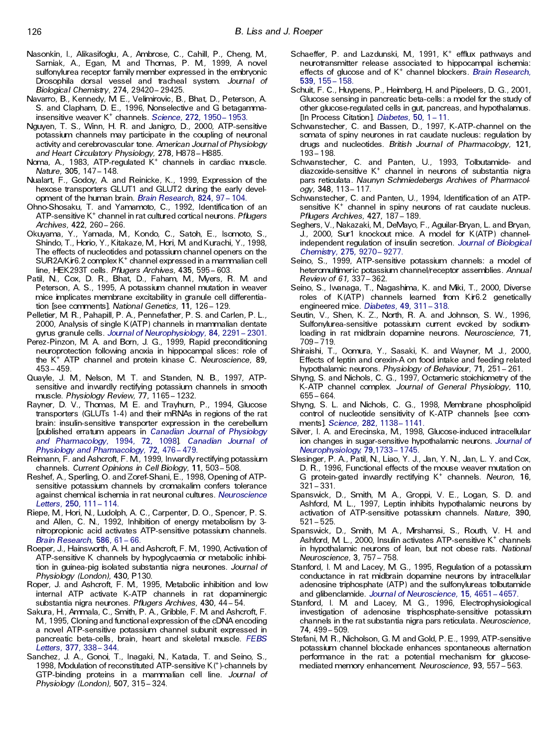- Nasonkin, I., Alikasifoglu, A., Ambrose, C., Cahill, P., Cheng, M., Sarniak, A., Egan, M. and Thomas, P. M., 1999, A novel sulfonylurea receptor family member expressed in the embryonic Drosophila dorsal vessel and tracheal system. *Journal of Biological Chemistry*, **274,** 29420± 29425.
- Navarro, B., Kennedy, M. E., Velimirovic, B., Bhat, D., Peterson, A. S. and Clapham, D. E., 1996, Nonselective and G betagammainsensitive weaver K<sup>+</sup> channels. *[Science](http://rosina.catchword.com/nw=1/rpsv/0036-8075^28^29272L.1950[aid=1493679])*, 272, 1950- 1953.
- Nguyen, T. S., Winn, H. R. and Janigro, D., 2000, ATP-sensitive potassium channels may participate in the coupling of neuronal activity and cerebrovascular tone. *American Journal of Physiology and Heart Circulatory Physiology*, **278,** H878± H885.
- Noma, A., 1983, ATP-regulated K <sup>+</sup> channels in cardiac muscle. *Nature*, **305,** 147± 148.
- Nualart, F., Godoy, A. and Reinicke, K., 1999, Expression of the hexose transporters GLUT1 and GLUT2 during the early development of the human brain. *Brain [Research](http://rosina.catchword.com/nw=1/rpsv/0006-8993^28^29824L.97[aid=1493681])*, 824, 97 - 104.
- Ohno-Shosaku, T. and Yamamoto, C., 1992, Identifica tion of an ATP-sensitive K <sup>+</sup> channel in rat cultured cortical neurons. *Pflugers Archives*, **422,** 260± 266.
- Okuyama, Y., Yamada, M., Kondo, C., Satoh, E., Isomoto, S., Shindo, T., Horio, Y., Kitakaze, M., Hori, M. and Kurachi, Y., 1998, The effects of nucleotides and potassium channel openers on the SUR2A/Kir6.2 complex K <sup>+</sup> channel expressed in a mammalian cell line, HEK293T cells. *Pflugers Archives*, **435,** 595± 603.
- Patil, N., Cox, D. R., Bhat, D., Faham, M., Myers, R. M. and Peterson, A. S., 1995, A potassium channel mutation in weaver mice implicates membrane excitability in granule cell differentiation [see comments]. National Genetics, 11, 126 - 129.
- Pelletier, M. R., Pahapill, P. A., Pennefather, P. S. and Carlen, P. L., 2000, Analysis of single K(ATP) channels in mammalian dentate gyrus granule cells. Journal of [Neurophysiology](http://rosina.catchword.com/nw=1/rpsv/0022-3077^28^2984L.2291[aid=1493683]), 84, 2291 - 2301.
- Perez-Pinzon, M. A. and Born, J. G., 1999, Rapid preconditioning neuroprotection following anoxia in hippocampal slices: role of the K <sup>+</sup> ATP channel and protein kinase C. *Neuroscience*, **89,**  $453 - 459.$
- Quayle, J. M., Nelson, M. T. and Standen, N. B., 1997, ATPsensitive and inwardly rectifying potassium channels in smooth muscle. *Physiology Review*, **77,** 1165± 1232.
- Rayner, D. V., Thomas, M. E. and Trayhurn, P., 1994, Glucose transporters (GLUTs 1-4) and their mRNAs in regions of the rat brain: insulin-sensitive transporter expression in the cerebellum [published erratum appears in *Canadian Journal of [Physiology](http://rosina.catchword.com/nw=1/rpsv/0008-4212^28^2972L.1098[aid=1493707]) and [Pharmacology](http://rosina.catchword.com/nw=1/rpsv/0008-4212^28^2972L.1098[aid=1493707])*, 1994, **72,** 1098]. *[Canadian](http://rosina.catchword.com/nw=1/rpsv/0008-4212^28^2972L.476[aid=1493685]) Journal of Physiology and [Pharmacology](http://rosina.catchword.com/nw=1/rpsv/0008-4212^28^2972L.476[aid=1493685])*, **72,** 476± 479.
- Reimann, F. and Ashcroft, F. M., 1999, Inwardly rectifying potassium channels. *Current Opinions in Cell Biology*, **11,** 503± 508.
- Reshef, A., Sperling, O. and Zoref-Shani, E., 1998, Opening of ATPsensitive potassium channels by cromakalim confers tolerance against chemical ischemia in rat neuronal cultures. *[Neuroscience](http://rosina.catchword.com/nw=1/rpsv/0304-3940^28^29250L.111[aid=1493687]) [Letters](http://rosina.catchword.com/nw=1/rpsv/0304-3940^28^29250L.111[aid=1493687])*, **250,** 111± 114.
- Riepe, M., Hori, N., Ludolph, A. C., Carpenter, D. O., Spencer, P. S. and Allen, C. N., 1992, Inhibition of energy metabolism by 3 nitropropionic acid activates ATP-sensitive potassium channels. **Brain [Research](http://rosina.catchword.com/nw=1/rpsv/0006-8993^28^29586L.61[aid=1493688]), 586, 61 - 66.**
- Roeper, J., Hainsworth, A. H. and Ashcroft, F. M., 1990, Activation of ATP-sensitive K channels by hypoglycaemia or metabolic inhibition in guinea-pig isolated substantia nigra neurones. *Journal of Physiology (London)*, **430,** P130.
- Roper, J. and Ashcroft, F. M., 1995, Metabolic inhibition and low internal ATP activate K-ATP channels in rat dopaminergic substantia nigra neurones. *Pflugers Archives*, **430,** 44± 54.
- Sakura, H., Ammala, C., Smith, P. A., Gribble, F. M. and Ashcroft, F. M., 1995, Cloning and functional expression of the cDNA encoding a novel ATP-sensitive potassium channel subunit expressed in pancreatic beta-cells , brain, heart and skeletal muscle. *[FEBS](http://rosina.catchword.com/nw=1/rpsv/0014-5793^28^29377L.338[aid=1493689]) [Letters](http://rosina.catchword.com/nw=1/rpsv/0014-5793^28^29377L.338[aid=1493689])*, **377,** 338± 344.
- Sanchez, J. A., Gonoi, T., Inagaki, N., Katada, T. and Seino, S., 1998, Modulation of reconstituted ATP-sensitive K(<sup>+</sup>)-channels by GTP-binding proteins in a mammalian cell line. *Journal of Physiology (London)*, **507,** 315± 324.
- Schaeffer, P. and Lazdunski, M., 1991, K <sup>+</sup> efflux pathways and neurotransmitter release associated to hippocampal ischemia: effects of glucose and of K <sup>+</sup> channel blockers. *Brain [Research](http://rosina.catchword.com/nw=1/rpsv/0006-8993^28^29539L.155[aid=1493691])*, **539,** 155± [158.](http://rosina.catchword.com/nw=1/rpsv/0006-8993^28^29539L.155[aid=1493691])
- Schuit, F. C., Huypens, P., Heimberg, H. and Pipeleers, D. G., 2001, Glucose sensing in pancreatic beta-cells : a model for the study of other glucose-regulated cells in gut, pancreas, and hypothalamus. [In Process Citation]. *[Diabetes](http://rosina.catchword.com/nw=1/rpsv/0012-1797^28^2950L.1[aid=1493692])*, 50, 1 - 11.
- Schwanstecher, C. and Bassen, D., 1997, K-ATP-channel on the somata of spiny neurones in rat caudate nucleus: regulation by drugs and nucleotides. *British Journal of Pharmacology*, **121,** 193± 198.
- Schwanstecher, C. and Panten, U., 1993, Tolbutamide- and diazoxide-sensitive K <sup>+</sup> channel in neurons of substantia nigra pars reticulata. *Naunyn Schmiedebergs Archives of Pharmacol ogy*, **348,** 113± 117.
- Schwanstecher, C. and Panten, U., 1994, Identification of an ATPsensitive K<sup>+</sup> channel in spiny neurons of rat caudate nucleus. *Pflugers Archives*, **427,** 187± 189.
- Seghers, V., Nakazaki, M., DeMayo, F., Aguilar-Bryan, L. and Bryan, J., 2000, Sur1 knockout mice. A model for K(ATP) channelindependent regulation of insulin secretion. *Journal of [Biological](http://rosina.catchword.com/nw=1/rpsv/0021-9258^28^29275L.9270[aid=1493695]) [Chemistry](http://rosina.catchword.com/nw=1/rpsv/0021-9258^28^29275L.9270[aid=1493695])*, **275,** 9270± 9277.
- Seino, S., 1999, ATP-sensitive potassium channels: a model of heteromultimeric potassium channel/receptor assemblies. *Annual Review of 61,* 337± 362.
- Seino, S., Iwanaga, T., Nagashima, K. and Miki, T., 2000, Diverse roles of K(ATP) channels learned from Kir6.2 genetically engineered mice. [Diabetes](http://rosina.catchword.com/nw=1/rpsv/0012-1797^28^2949L.311[aid=1493696]), 49, 311-318.
- Seutin, V., Shen, K. Z., North, R. A. and Johnson, S. W., 1996, Sulfonylurea-sensitive potassium current evoked by sodiumloading in rat midbrain dopamine neurons. *Neuroscience*, **71,**  $709 - 719.$
- Shiraishi, T., Oomura, Y., Sasaki, K. and Wayner, M. J., 2000, Effects of leptin and orexin-A on food intake and feeding related hypothalamic neurons. *Physiology of Behaviour*, **71,** 251± 261.
- Shyng, S. and Nichols, C. G., 1997, Octameric stoichiometry of the K-ATP channel complex. *Journal of General Physiology*, **110,** 655± 664.
- Shyng, S. L. and Nichols, C. G., 1998, Membrane phospholipid control of nucleotide sensitivity of K-ATP channels [see com ments]. *[Science](http://rosina.catchword.com/nw=1/rpsv/0036-8075^28^29282L.1138[aid=1493699])*, 282, 1138-1141.
- Silver, I. A. and Erecinska, M., 1998, Glucose-induced intracellular ion changes in sugar-sensitive hypothalamic neurons. *[Journal](http://rosina.catchword.com/nw=1/rpsv/0022-3077^28^2979L.1733[aid=1493700]) of [Neurophysiology](http://rosina.catchword.com/nw=1/rpsv/0022-3077^28^2979L.1733[aid=1493700])*, **79,**1733± 1745.
- Slesinger, P. A., Patil, N., Liao, Y. J., Jan, Y. N., Jan, L. Y. and Cox, D. R., 1996, Functional effects of the mouse weaver mutation on G protein-gated inwardly rectifying K <sup>+</sup> channels. *Neuron*, **16,**  $321 - 331.$
- Spanswick, D., Smith, M. A., Groppi, V. E., Logan, S. D. and Ashford, M. L., 1997, Leptin inhibits hypothalamic neurons by activation of ATP-sensitive potassium channels. *Nature*, **390,**  $521 - 525.$
- Spanswick, D., Smith, M. A., Mirshamsi, S., Routh, V. H. and Ashford, M L., 2000, Insulin activates ATP-sensitive K<sup>+</sup> channels in hypothalamic neurons of lean, but not obese rats. *National Neuroscience*, **3,** 757± 758.
- Stanford, I. M. and Lacey, M. G., 1995, Regulation of a potassium conductance in rat midbrain dopamine neurons by intracellular adenosine triphosphate (ATP) and the sulfonylureas tolbutamide and glibenclamide. Journal of [Neuroscience](http://rosina.catchword.com/nw=1/rpsv/0270-6474^28^2915L.4651[aid=1493704]), 15, 4651 - 4657.
- Stanford, I. M. and Lacey, M. G., 1996, Electrophysiological investigation of adenosine trisphosphate-sensitive potassium channels in the rat substantia nigra pars reticulata. *Neuroscience*, **74,** 499± 509.
- Stefani, M. R., Nicholson, G. M. and Gold, P. E., 1999, ATP-sensitive potassium channel blockade enhances spontaneous alternation performance in the rat: a potential mechanism for glucose mediated memory enhancement. *Neuroscience*, 93, 557–563.